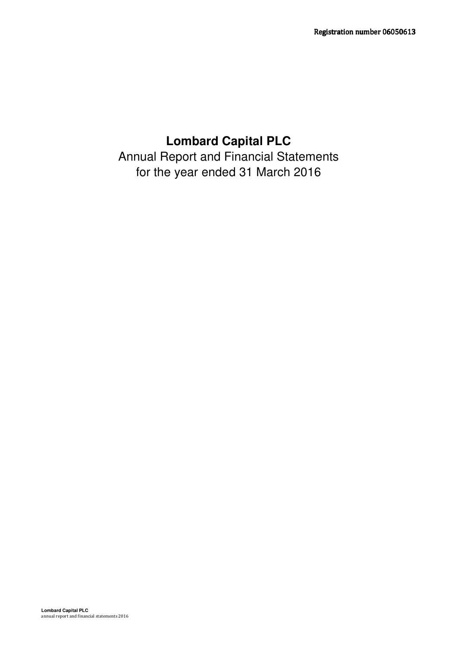# **Lombard Capital PLC**

Annual Report and Financial Statements for the year ended 31 March 2016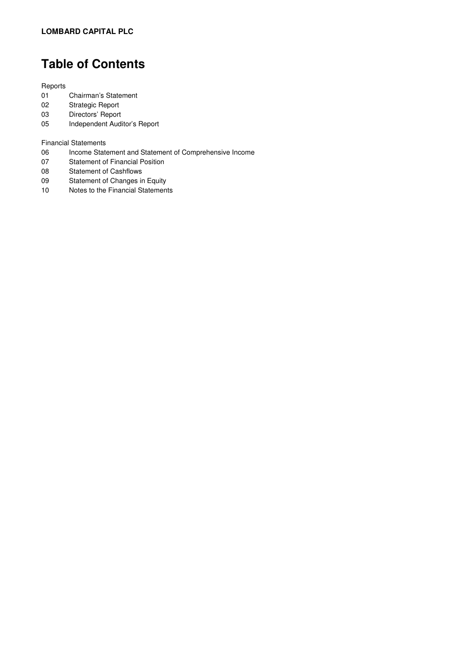# **Table of Contents**

# Reports

- 01 Chairman's Statement
- 02 Strategic Report
- 03 Directors' Report
- 05 Independent Auditor's Report

# Financial Statements

- 06 Income Statement and Statement of Comprehensive Income
- 07 Statement of Financial Position
- 08 Statement of Cashflows
- 09 Statement of Changes in Equity
- 10 Notes to the Financial Statements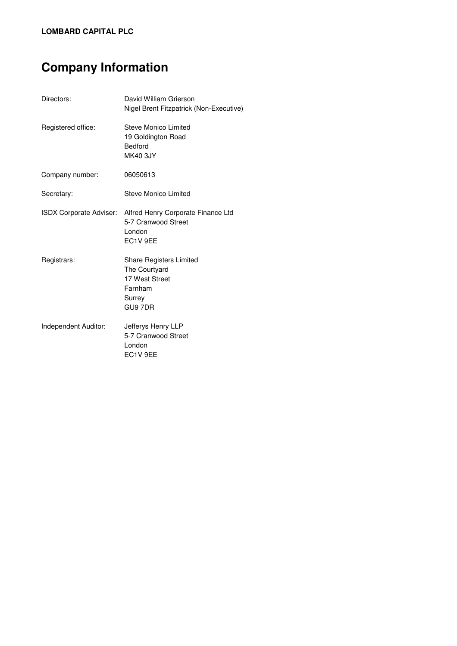# **LOMBARD CAPITAL PLC**

# **Company Information**

| Directors:              | David William Grierson<br>Nigel Brent Fitzpatrick (Non-Executive)                                 |
|-------------------------|---------------------------------------------------------------------------------------------------|
| Registered office:      | <b>Steve Monico Limited</b><br>19 Goldington Road<br>Bedford<br><b>MK40 3JY</b>                   |
| Company number:         | 06050613                                                                                          |
| Secretary:              | <b>Steve Monico Limited</b>                                                                       |
| ISDX Corporate Adviser: | Alfred Henry Corporate Finance Ltd<br>5-7 Cranwood Street<br>London<br>EC1V 9EE                   |
| Registrars:             | Share Registers Limited<br><b>The Courtvard</b><br>17 West Street<br>Farnham<br>Surrey<br>GU9 7DR |
| Independent Auditor:    | Jefferys Henry LLP<br>5-7 Cranwood Street<br>London<br>EC1V 9EE                                   |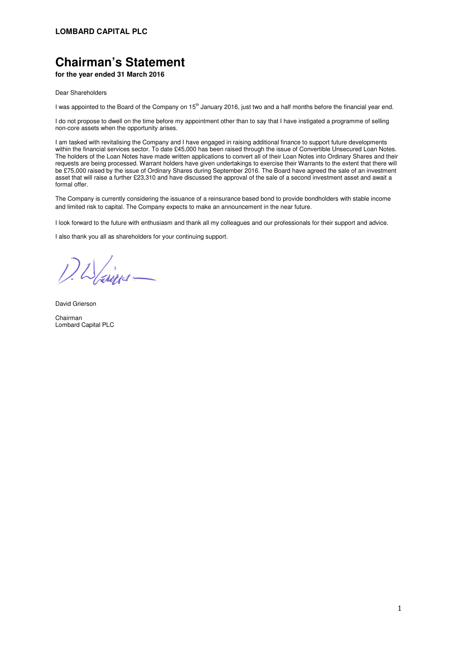# **Chairman's Statement**

**for the year ended 31 March 2016** 

Dear Shareholders

I was appointed to the Board of the Company on 15<sup>th</sup> January 2016, just two and a half months before the financial year end.

I do not propose to dwell on the time before my appointment other than to say that I have instigated a programme of selling non-core assets when the opportunity arises.

I am tasked with revitalising the Company and I have engaged in raising additional finance to support future developments within the financial services sector. To date £45,000 has been raised through the issue of Convertible Unsecured Loan Notes. The holders of the Loan Notes have made written applications to convert all of their Loan Notes into Ordinary Shares and their requests are being processed. Warrant holders have given undertakings to exercise their Warrants to the extent that there will be £75,000 raised by the issue of Ordinary Shares during September 2016. The Board have agreed the sale of an investment asset that will raise a further £23,310 and have discussed the approval of the sale of a second investment asset and await a formal offer.

The Company is currently considering the issuance of a reinsurance based bond to provide bondholders with stable income and limited risk to capital. The Company expects to make an announcement in the near future.

I look forward to the future with enthusiasm and thank all my colleagues and our professionals for their support and advice.

I also thank you all as shareholders for your continuing support.

Light -

David Grierson

Chairman Lombard Capital PLC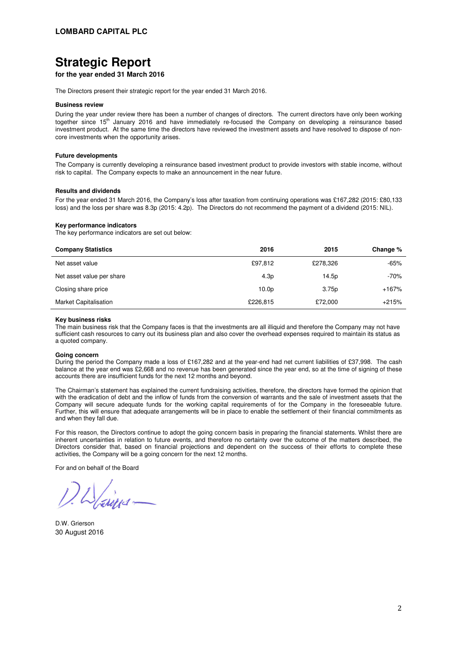# **Strategic Report**

**for the year ended 31 March 2016** 

The Directors present their strategic report for the year ended 31 March 2016.

#### **Business review**

During the year under review there has been a number of changes of directors. The current directors have only been working together since 15<sup>th</sup> January 2016 and have immediately re-focused the Company on developing a reinsurance based investment product. At the same time the directors have reviewed the investment assets and have resolved to dispose of noncore investments when the opportunity arises.

#### **Future developments**

The Company is currently developing a reinsurance based investment product to provide investors with stable income, without risk to capital. The Company expects to make an announcement in the near future.

#### **Results and dividends**

For the year ended 31 March 2016, the Company's loss after taxation from continuing operations was £167,282 (2015: £80,133 loss) and the loss per share was 8.3p (2015: 4.2p). The Directors do not recommend the payment of a dividend (2015: NIL).

#### **Key performance indicators**

The key performance indicators are set out below:

| <b>Company Statistics</b>    | 2016              | 2015              | Change % |
|------------------------------|-------------------|-------------------|----------|
| Net asset value              | £97,812           | £278,326          | -65%     |
| Net asset value per share    | 4.3 <sub>p</sub>  | 14.5p             | $-70%$   |
| Closing share price          | 10.0 <sub>p</sub> | 3.75 <sub>p</sub> | $+167%$  |
| <b>Market Capitalisation</b> | £226,815          | £72,000           | $+215%$  |

#### **Key business risks**

The main business risk that the Company faces is that the investments are all illiquid and therefore the Company may not have sufficient cash resources to carry out its business plan and also cover the overhead expenses required to maintain its status as a quoted company.

#### **Going concern**

During the period the Company made a loss of £167,282 and at the year-end had net current liabilities of £37,998. The cash balance at the year end was £2,668 and no revenue has been generated since the year end, so at the time of signing of these accounts there are insufficient funds for the next 12 months and beyond.

The Chairman's statement has explained the current fundraising activities, therefore, the directors have formed the opinion that with the eradication of debt and the inflow of funds from the conversion of warrants and the sale of investment assets that the Company will secure adequate funds for the working capital requirements of for the Company in the foreseeable future. Further, this will ensure that adequate arrangements will be in place to enable the settlement of their financial commitments as and when they fall due.

For this reason, the Directors continue to adopt the going concern basis in preparing the financial statements. Whilst there are inherent uncertainties in relation to future events, and therefore no certainty over the outcome of the matters described, the Directors consider that, based on financial projections and dependent on the success of their efforts to complete these activities, the Company will be a going concern for the next 12 months.

For and on behalf of the Board

D.W. Grierson 30 August 2016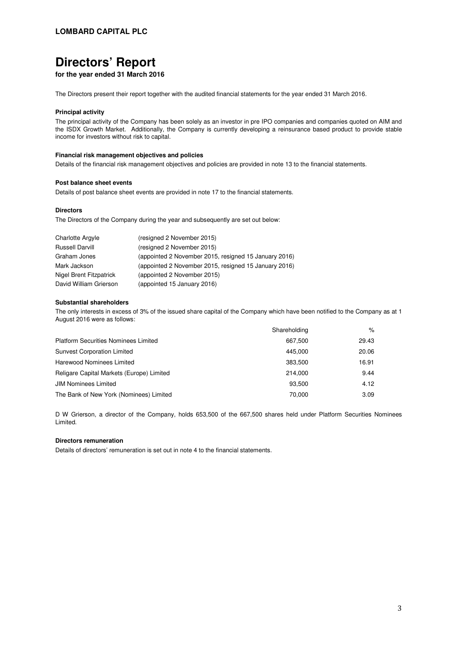# **Directors' Report**

**for the year ended 31 March 2016** 

The Directors present their report together with the audited financial statements for the year ended 31 March 2016.

## **Principal activity**

The principal activity of the Company has been solely as an investor in pre IPO companies and companies quoted on AIM and the ISDX Growth Market. Additionally, the Company is currently developing a reinsurance based product to provide stable income for investors without risk to capital.

# **Financial risk management objectives and policies**

Details of the financial risk management objectives and policies are provided in note 13 to the financial statements.

## **Post balance sheet events**

Details of post balance sheet events are provided in note 17 to the financial statements.

#### **Directors**

The Directors of the Company during the year and subsequently are set out below:

| <b>Charlotte Argyle</b> | (resigned 2 November 2015)                            |
|-------------------------|-------------------------------------------------------|
| <b>Russell Darvill</b>  | (resigned 2 November 2015)                            |
| Graham Jones            | (appointed 2 November 2015, resigned 15 January 2016) |
| Mark Jackson            | (appointed 2 November 2015, resigned 15 January 2016) |
| Nigel Brent Fitzpatrick | (appointed 2 November 2015)                           |
| David William Grierson  | (appointed 15 January 2016)                           |

## **Substantial shareholders**

The only interests in excess of 3% of the issued share capital of the Company which have been notified to the Company as at 1 August 2016 were as follows:

|                                             | Shareholding | %     |
|---------------------------------------------|--------------|-------|
| <b>Platform Securities Nominees Limited</b> | 667.500      | 29.43 |
| <b>Sunvest Corporation Limited</b>          | 445.000      | 20.06 |
| <b>Harewood Nominees Limited</b>            | 383.500      | 16.91 |
| Religare Capital Markets (Europe) Limited   | 214,000      | 9.44  |
| <b>JIM Nominees Limited</b>                 | 93.500       | 4.12  |
| The Bank of New York (Nominees) Limited     | 70.000       | 3.09  |

D W Grierson, a director of the Company, holds 653,500 of the 667,500 shares held under Platform Securities Nominees Limited.

## **Directors remuneration**

Details of directors' remuneration is set out in note 4 to the financial statements.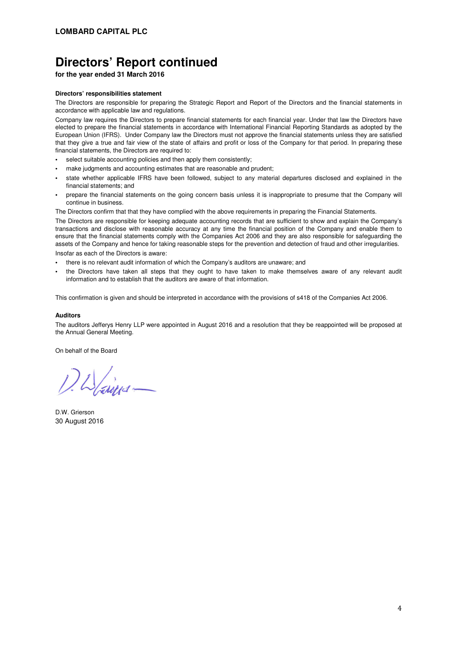# **Directors' Report continued**

**for the year ended 31 March 2016** 

## **Directors' responsibilities statement**

The Directors are responsible for preparing the Strategic Report and Report of the Directors and the financial statements in accordance with applicable law and regulations.

Company law requires the Directors to prepare financial statements for each financial year. Under that law the Directors have elected to prepare the financial statements in accordance with International Financial Reporting Standards as adopted by the European Union (IFRS). Under Company law the Directors must not approve the financial statements unless they are satisfied that they give a true and fair view of the state of affairs and profit or loss of the Company for that period. In preparing these financial statements, the Directors are required to:

- **•** select suitable accounting policies and then apply them consistently;
- **•** make judgments and accounting estimates that are reasonable and prudent;
- **•** state whether applicable IFRS have been followed, subject to any material departures disclosed and explained in the financial statements; and
- **•** prepare the financial statements on the going concern basis unless it is inappropriate to presume that the Company will continue in business.

The Directors confirm that that they have complied with the above requirements in preparing the Financial Statements.

The Directors are responsible for keeping adequate accounting records that are sufficient to show and explain the Company's transactions and disclose with reasonable accuracy at any time the financial position of the Company and enable them to ensure that the financial statements comply with the Companies Act 2006 and they are also responsible for safeguarding the assets of the Company and hence for taking reasonable steps for the prevention and detection of fraud and other irregularities. Insofar as each of the Directors is aware:

- **•** there is no relevant audit information of which the Company's auditors are unaware; and
- **•** the Directors have taken all steps that they ought to have taken to make themselves aware of any relevant audit information and to establish that the auditors are aware of that information.

This confirmation is given and should be interpreted in accordance with the provisions of s418 of the Companies Act 2006.

## **Auditors**

The auditors Jefferys Henry LLP were appointed in August 2016 and a resolution that they be reappointed will be proposed at the Annual General Meeting.

On behalf of the Board

1 Jaillet -

D.W. Grierson 30 August 2016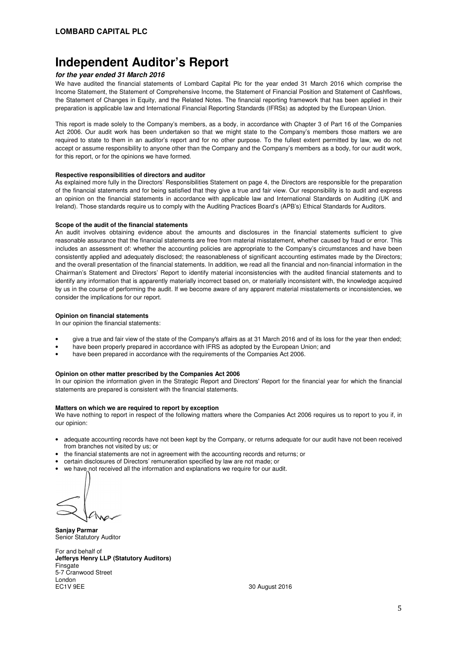# **Independent Auditor's Report**

# **for the year ended 31 March 2016**

We have audited the financial statements of Lombard Capital Plc for the year ended 31 March 2016 which comprise the Income Statement, the Statement of Comprehensive Income, the Statement of Financial Position and Statement of Cashflows, the Statement of Changes in Equity, and the Related Notes. The financial reporting framework that has been applied in their preparation is applicable law and International Financial Reporting Standards (IFRSs) as adopted by the European Union.

This report is made solely to the Company's members, as a body, in accordance with Chapter 3 of Part 16 of the Companies Act 2006. Our audit work has been undertaken so that we might state to the Company's members those matters we are required to state to them in an auditor's report and for no other purpose. To the fullest extent permitted by law, we do not accept or assume responsibility to anyone other than the Company and the Company's members as a body, for our audit work, for this report, or for the opinions we have formed.

#### **Respective responsibilities of directors and auditor**

As explained more fully in the Directors' Responsibilities Statement on page 4, the Directors are responsible for the preparation of the financial statements and for being satisfied that they give a true and fair view. Our responsibility is to audit and express an opinion on the financial statements in accordance with applicable law and International Standards on Auditing (UK and Ireland). Those standards require us to comply with the Auditing Practices Board's (APB's) Ethical Standards for Auditors.

## **Scope of the audit of the financial statements**

An audit involves obtaining evidence about the amounts and disclosures in the financial statements sufficient to give reasonable assurance that the financial statements are free from material misstatement, whether caused by fraud or error. This includes an assessment of: whether the accounting policies are appropriate to the Company's circumstances and have been consistently applied and adequately disclosed; the reasonableness of significant accounting estimates made by the Directors; and the overall presentation of the financial statements. In addition, we read all the financial and non-financial information in the Chairman's Statement and Directors' Report to identify material inconsistencies with the audited financial statements and to identify any information that is apparently materially incorrect based on, or materially inconsistent with, the knowledge acquired by us in the course of performing the audit. If we become aware of any apparent material misstatements or inconsistencies, we consider the implications for our report.

#### **Opinion on financial statements**

In our opinion the financial statements:

- give a true and fair view of the state of the Company's affairs as at 31 March 2016 and of its loss for the year then ended;
- have been properly prepared in accordance with IFRS as adopted by the European Union; and
- have been prepared in accordance with the requirements of the Companies Act 2006.

#### **Opinion on other matter prescribed by the Companies Act 2006**

In our opinion the information given in the Strategic Report and Directors' Report for the financial year for which the financial statements are prepared is consistent with the financial statements.

#### **Matters on which we are required to report by exception**

We have nothing to report in respect of the following matters where the Companies Act 2006 requires us to report to you if, in our opinion:

- adequate accounting records have not been kept by the Company, or returns adequate for our audit have not been received from branches not visited by us; or
- the financial statements are not in agreement with the accounting records and returns; or
- certain disclosures of Directors' remuneration specified by law are not made; or
- we have not received all the information and explanations we require for our audit.

**Sanjay Parmar**  Senior Statutory Auditor

For and behalf of **Jefferys Henry LLP (Statutory Auditors)**  Finsgate 5-7 Cranwood Street London<br>EC1V 9EF

EC1V 9EE30 August 2016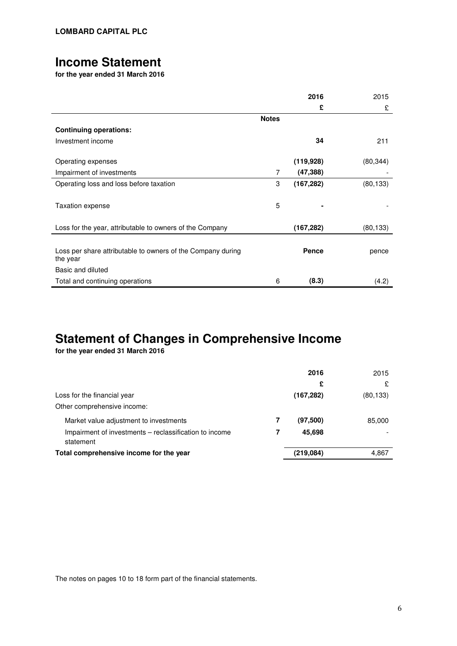# **Income Statement**

**for the year ended 31 March 2016**

|                                                                         |              | 2016         | 2015      |
|-------------------------------------------------------------------------|--------------|--------------|-----------|
|                                                                         |              | £            | £         |
|                                                                         | <b>Notes</b> |              |           |
| <b>Continuing operations:</b>                                           |              |              |           |
| Investment income                                                       |              | 34           | 211       |
| Operating expenses                                                      |              | (119, 928)   | (80, 344) |
| Impairment of investments                                               | 7            | (47, 388)    |           |
| Operating loss and loss before taxation                                 | 3            | (167, 282)   | (80, 133) |
| Taxation expense                                                        | 5            |              |           |
| Loss for the year, attributable to owners of the Company                |              | (167, 282)   | (80, 133) |
|                                                                         |              |              |           |
| Loss per share attributable to owners of the Company during<br>the year |              | <b>Pence</b> | pence     |
| Basic and diluted                                                       |              |              |           |
| Total and continuing operations                                         | 6            | (8.3)        | (4.2)     |

# **Statement of Changes in Comprehensive Income**

**for the year ended 31 March 2016**

|                                                                     | 2016       | 2015     |
|---------------------------------------------------------------------|------------|----------|
|                                                                     | £          | £        |
| Loss for the financial year                                         | (167, 282) | (80,133) |
| Other comprehensive income:                                         |            |          |
| Market value adjustment to investments                              | (97,500)   | 85,000   |
| Impairment of investments – reclassification to income<br>statement | 45.698     |          |
| Total comprehensive income for the year                             | (219,084)  | 4,867    |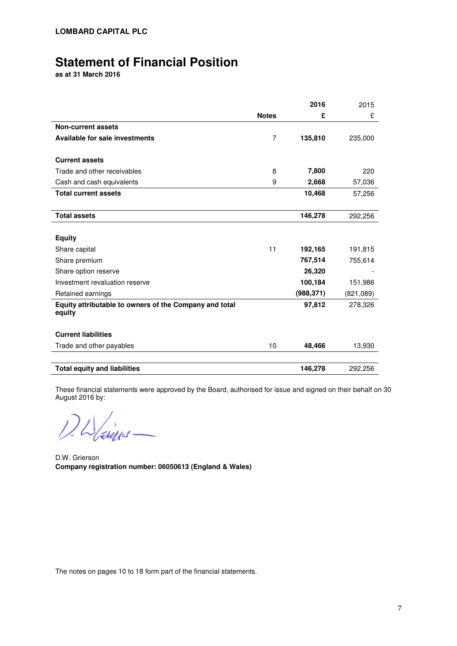# **Statement of Financial Position**

**as at 31 March 2016** 

|                                                        |              | 2016       | 2015      |
|--------------------------------------------------------|--------------|------------|-----------|
|                                                        | <b>Notes</b> | £          | £         |
| <b>Non-current assets</b>                              |              |            |           |
| Available for sale investments                         | 7            | 135,810    | 235,000   |
|                                                        |              |            |           |
| <b>Current assets</b>                                  |              |            |           |
| Trade and other receivables                            | 8            | 7,800      | 220       |
| Cash and cash equivalents                              | 9            | 2,668      | 57,036    |
| <b>Total current assets</b>                            |              | 10,468     | 57,256    |
|                                                        |              |            |           |
| <b>Total assets</b>                                    |              | 146,278    | 292,256   |
|                                                        |              |            |           |
| <b>Equity</b>                                          |              |            |           |
| Share capital                                          | 11           | 192,165    | 191,815   |
| Share premium                                          |              | 767,514    | 755,614   |
| Share option reserve                                   |              | 26,320     |           |
| Investment revaluation reserve                         |              | 100,184    | 151,986   |
| Retained earnings                                      |              | (988, 371) | (821,089) |
| Equity attributable to owners of the Company and total |              | 97,812     | 278,326   |
| equity                                                 |              |            |           |
|                                                        |              |            |           |
| <b>Current liabilities</b>                             |              |            |           |
| Trade and other payables                               | 10           | 48,466     | 13,930    |
|                                                        |              |            |           |
| <b>Total equity and liabilities</b>                    |              | 146,278    | 292,256   |

These financial statements were approved by the Board, authorised for issue and signed on their behalf on 30 August 2016 by:

 $\overline{\mathcal{A}}$ 

D.W. Grierson **Company registration number: 06050613 (England & Wales)**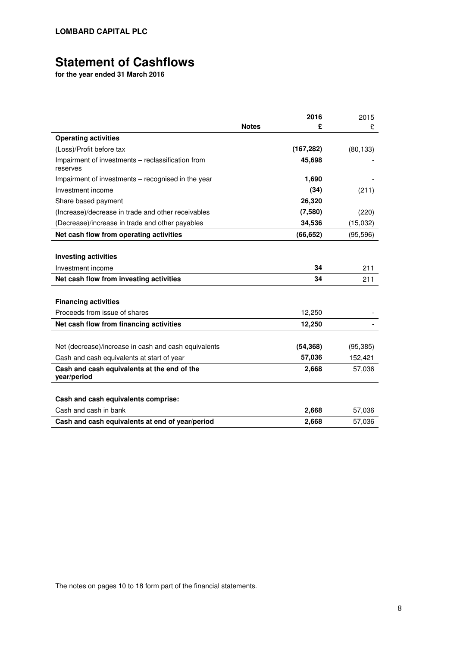# **Statement of Cashflows**

**for the year ended 31 March 2016** 

| <b>Notes</b><br>£<br>£<br><b>Operating activities</b><br>(Loss)/Profit before tax<br>(167, 282)<br>(80, 133)<br>45,698<br>Impairment of investments – reclassification from<br>reserves<br>1,690<br>Impairment of investments – recognised in the year<br>Investment income<br>(34)<br>(211)<br>26,320<br>Share based payment<br>(Increase)/decrease in trade and other receivables<br>(7,580)<br>(220)<br>34,536<br>(Decrease)/increase in trade and other payables<br>(15,032)<br>Net cash flow from operating activities<br>(66, 652)<br>(95, 596)<br><b>Investing activities</b><br>Investment income<br>34<br>211<br>Net cash flow from investing activities<br>34<br>211<br><b>Financing activities</b><br>Proceeds from issue of shares<br>12,250<br>Net cash flow from financing activities<br>12,250<br>Net (decrease)/increase in cash and cash equivalents<br>(54, 368)<br>(95, 385)<br>Cash and cash equivalents at start of year<br>57,036<br>152,421<br>Cash and cash equivalents at the end of the<br>2,668<br>57,036<br>year/period<br>Cash and cash equivalents comprise:<br>Cash and cash in bank<br>2,668<br>57,036<br>Cash and cash equivalents at end of year/period<br>2,668<br>57,036 |  | 2016 | 2015 |
|--------------------------------------------------------------------------------------------------------------------------------------------------------------------------------------------------------------------------------------------------------------------------------------------------------------------------------------------------------------------------------------------------------------------------------------------------------------------------------------------------------------------------------------------------------------------------------------------------------------------------------------------------------------------------------------------------------------------------------------------------------------------------------------------------------------------------------------------------------------------------------------------------------------------------------------------------------------------------------------------------------------------------------------------------------------------------------------------------------------------------------------------------------------------------------------------------------------|--|------|------|
|                                                                                                                                                                                                                                                                                                                                                                                                                                                                                                                                                                                                                                                                                                                                                                                                                                                                                                                                                                                                                                                                                                                                                                                                              |  |      |      |
|                                                                                                                                                                                                                                                                                                                                                                                                                                                                                                                                                                                                                                                                                                                                                                                                                                                                                                                                                                                                                                                                                                                                                                                                              |  |      |      |
|                                                                                                                                                                                                                                                                                                                                                                                                                                                                                                                                                                                                                                                                                                                                                                                                                                                                                                                                                                                                                                                                                                                                                                                                              |  |      |      |
|                                                                                                                                                                                                                                                                                                                                                                                                                                                                                                                                                                                                                                                                                                                                                                                                                                                                                                                                                                                                                                                                                                                                                                                                              |  |      |      |
|                                                                                                                                                                                                                                                                                                                                                                                                                                                                                                                                                                                                                                                                                                                                                                                                                                                                                                                                                                                                                                                                                                                                                                                                              |  |      |      |
|                                                                                                                                                                                                                                                                                                                                                                                                                                                                                                                                                                                                                                                                                                                                                                                                                                                                                                                                                                                                                                                                                                                                                                                                              |  |      |      |
|                                                                                                                                                                                                                                                                                                                                                                                                                                                                                                                                                                                                                                                                                                                                                                                                                                                                                                                                                                                                                                                                                                                                                                                                              |  |      |      |
|                                                                                                                                                                                                                                                                                                                                                                                                                                                                                                                                                                                                                                                                                                                                                                                                                                                                                                                                                                                                                                                                                                                                                                                                              |  |      |      |
|                                                                                                                                                                                                                                                                                                                                                                                                                                                                                                                                                                                                                                                                                                                                                                                                                                                                                                                                                                                                                                                                                                                                                                                                              |  |      |      |
|                                                                                                                                                                                                                                                                                                                                                                                                                                                                                                                                                                                                                                                                                                                                                                                                                                                                                                                                                                                                                                                                                                                                                                                                              |  |      |      |
|                                                                                                                                                                                                                                                                                                                                                                                                                                                                                                                                                                                                                                                                                                                                                                                                                                                                                                                                                                                                                                                                                                                                                                                                              |  |      |      |
|                                                                                                                                                                                                                                                                                                                                                                                                                                                                                                                                                                                                                                                                                                                                                                                                                                                                                                                                                                                                                                                                                                                                                                                                              |  |      |      |
|                                                                                                                                                                                                                                                                                                                                                                                                                                                                                                                                                                                                                                                                                                                                                                                                                                                                                                                                                                                                                                                                                                                                                                                                              |  |      |      |
|                                                                                                                                                                                                                                                                                                                                                                                                                                                                                                                                                                                                                                                                                                                                                                                                                                                                                                                                                                                                                                                                                                                                                                                                              |  |      |      |
|                                                                                                                                                                                                                                                                                                                                                                                                                                                                                                                                                                                                                                                                                                                                                                                                                                                                                                                                                                                                                                                                                                                                                                                                              |  |      |      |
|                                                                                                                                                                                                                                                                                                                                                                                                                                                                                                                                                                                                                                                                                                                                                                                                                                                                                                                                                                                                                                                                                                                                                                                                              |  |      |      |
|                                                                                                                                                                                                                                                                                                                                                                                                                                                                                                                                                                                                                                                                                                                                                                                                                                                                                                                                                                                                                                                                                                                                                                                                              |  |      |      |
|                                                                                                                                                                                                                                                                                                                                                                                                                                                                                                                                                                                                                                                                                                                                                                                                                                                                                                                                                                                                                                                                                                                                                                                                              |  |      |      |
|                                                                                                                                                                                                                                                                                                                                                                                                                                                                                                                                                                                                                                                                                                                                                                                                                                                                                                                                                                                                                                                                                                                                                                                                              |  |      |      |
|                                                                                                                                                                                                                                                                                                                                                                                                                                                                                                                                                                                                                                                                                                                                                                                                                                                                                                                                                                                                                                                                                                                                                                                                              |  |      |      |
|                                                                                                                                                                                                                                                                                                                                                                                                                                                                                                                                                                                                                                                                                                                                                                                                                                                                                                                                                                                                                                                                                                                                                                                                              |  |      |      |
|                                                                                                                                                                                                                                                                                                                                                                                                                                                                                                                                                                                                                                                                                                                                                                                                                                                                                                                                                                                                                                                                                                                                                                                                              |  |      |      |
|                                                                                                                                                                                                                                                                                                                                                                                                                                                                                                                                                                                                                                                                                                                                                                                                                                                                                                                                                                                                                                                                                                                                                                                                              |  |      |      |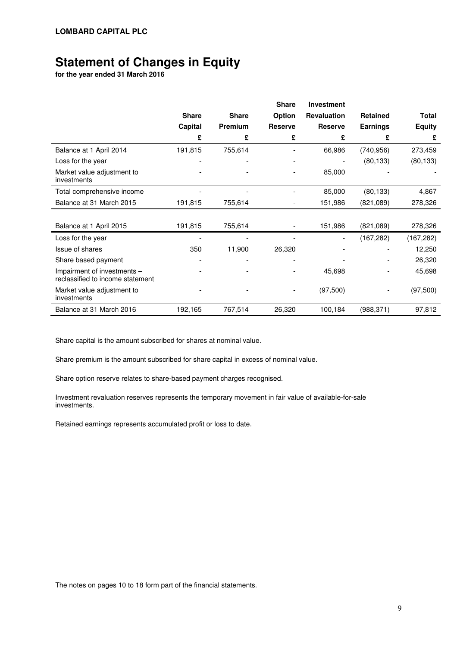# **Statement of Changes in Equity**

**for the year ended 31 March 2016** 

|                                                                 |                |                | <b>Share</b>   | <b>Investment</b>        |                 |               |
|-----------------------------------------------------------------|----------------|----------------|----------------|--------------------------|-----------------|---------------|
|                                                                 | <b>Share</b>   | <b>Share</b>   | Option         | <b>Revaluation</b>       | <b>Retained</b> | Total         |
|                                                                 | <b>Capital</b> | <b>Premium</b> | <b>Reserve</b> | <b>Reserve</b>           | <b>Earnings</b> | <b>Equity</b> |
|                                                                 | £              | £              | £              | £                        | £               | £             |
| Balance at 1 April 2014                                         | 191,815        | 755,614        |                | 66,986                   | (740, 956)      | 273,459       |
| Loss for the year                                               |                |                |                |                          | (80, 133)       | (80, 133)     |
| Market value adjustment to<br>investments                       |                |                |                | 85,000                   |                 |               |
| Total comprehensive income                                      |                |                |                | 85,000                   | (80, 133)       | 4,867         |
| Balance at 31 March 2015                                        | 191,815        | 755,614        |                | 151,986                  | (821,089)       | 278,326       |
|                                                                 |                |                |                |                          |                 |               |
| Balance at 1 April 2015                                         | 191,815        | 755,614        |                | 151,986                  | (821,089)       | 278,326       |
| Loss for the year                                               |                |                |                | $\overline{\phantom{a}}$ | (167, 282)      | (167, 282)    |
| <b>Issue of shares</b>                                          | 350            | 11,900         | 26,320         |                          |                 | 12,250        |
| Share based payment                                             |                |                |                |                          |                 | 26,320        |
| Impairment of investments -<br>reclassified to income statement |                |                |                | 45,698                   |                 | 45,698        |
| Market value adjustment to<br>investments                       |                |                |                | (97, 500)                |                 | (97, 500)     |
| Balance at 31 March 2016                                        | 192,165        | 767,514        | 26,320         | 100,184                  | (988, 371)      | 97,812        |

Share capital is the amount subscribed for shares at nominal value.

Share premium is the amount subscribed for share capital in excess of nominal value.

Share option reserve relates to share-based payment charges recognised.

Investment revaluation reserves represents the temporary movement in fair value of available-for-sale investments.

Retained earnings represents accumulated profit or loss to date.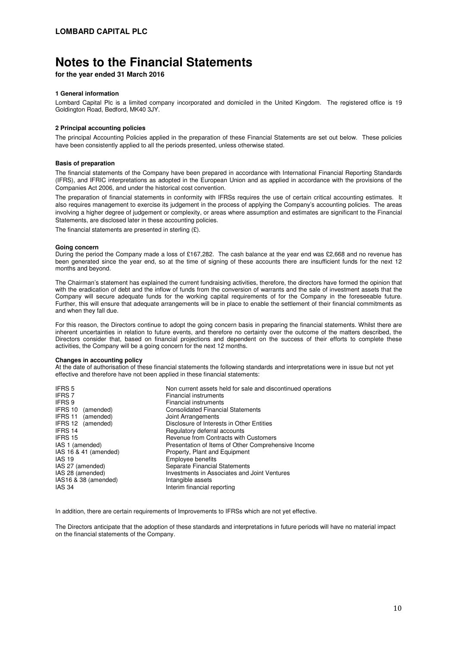**for the year ended 31 March 2016** 

#### **1 General information**

Lombard Capital Plc is a limited company incorporated and domiciled in the United Kingdom. The registered office is 19 Goldington Road, Bedford, MK40 3JY.

#### **2 Principal accounting policies**

The principal Accounting Policies applied in the preparation of these Financial Statements are set out below. These policies have been consistently applied to all the periods presented, unless otherwise stated.

### **Basis of preparation**

The financial statements of the Company have been prepared in accordance with International Financial Reporting Standards (IFRS), and IFRIC interpretations as adopted in the European Union and as applied in accordance with the provisions of the Companies Act 2006, and under the historical cost convention.

The preparation of financial statements in conformity with IFRSs requires the use of certain critical accounting estimates. It also requires management to exercise its judgement in the process of applying the Company's accounting policies. The areas involving a higher degree of judgement or complexity, or areas where assumption and estimates are significant to the Financial Statements, are disclosed later in these accounting policies.

The financial statements are presented in sterling  $(E)$ .

#### **Going concern**

During the period the Company made a loss of £167,282. The cash balance at the year end was £2,668 and no revenue has been generated since the year end, so at the time of signing of these accounts there are insufficient funds for the next 12 months and beyond.

The Chairman's statement has explained the current fundraising activities, therefore, the directors have formed the opinion that with the eradication of debt and the inflow of funds from the conversion of warrants and the sale of investment assets that the Company will secure adequate funds for the working capital requirements of for the Company in the foreseeable future. Further, this will ensure that adequate arrangements will be in place to enable the settlement of their financial commitments as and when they fall due.

For this reason, the Directors continue to adopt the going concern basis in preparing the financial statements. Whilst there are inherent uncertainties in relation to future events, and therefore no certainty over the outcome of the matters described, the Directors consider that, based on financial projections and dependent on the success of their efforts to complete these activities, the Company will be a going concern for the next 12 months.

#### **Changes in accounting policy**

At the date of authorisation of these financial statements the following standards and interpretations were in issue but not yet effective and therefore have not been applied in these financial statements:

| IFRS 5                | Non current assets held for sale and discontinued operations |
|-----------------------|--------------------------------------------------------------|
| <b>IFRS 7</b>         | Financial instruments                                        |
| IFRS 9                | <b>Financial instruments</b>                                 |
| IFRS 10<br>(amended)  | <b>Consolidated Financial Statements</b>                     |
| IFRS 11<br>(amended)  | Joint Arrangements                                           |
| IFRS 12 (amended)     | Disclosure of Interests in Other Entities                    |
| IFRS 14               | Regulatory deferral accounts                                 |
| IFRS 15               | Revenue from Contracts with Customers                        |
| IAS 1 (amended)       | Presentation of Items of Other Comprehensive Income          |
| IAS 16 & 41 (amended) | Property, Plant and Equipment                                |
| IAS 19                | Employee benefits                                            |
| IAS 27 (amended)      | Separate Financial Statements                                |
| IAS 28 (amended)      | Investments in Associates and Joint Ventures                 |
| IAS16 & 38 (amended)  | Intangible assets                                            |
| <b>IAS 34</b>         | Interim financial reporting                                  |
|                       |                                                              |

In addition, there are certain requirements of Improvements to IFRSs which are not yet effective.

The Directors anticipate that the adoption of these standards and interpretations in future periods will have no material impact on the financial statements of the Company.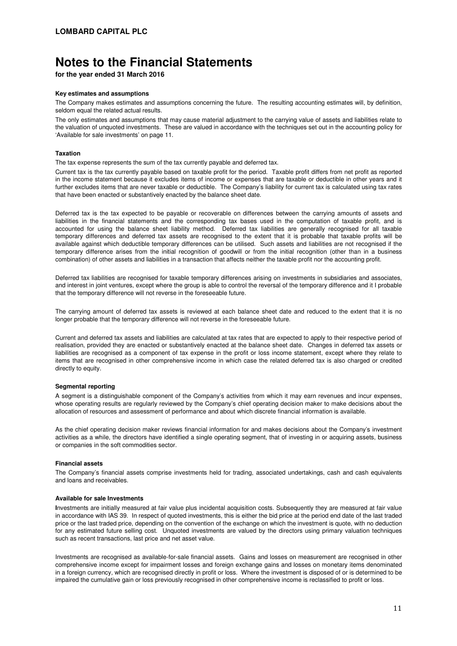**for the year ended 31 March 2016** 

#### **Key estimates and assumptions**

The Company makes estimates and assumptions concerning the future. The resulting accounting estimates will, by definition, seldom equal the related actual results.

The only estimates and assumptions that may cause material adjustment to the carrying value of assets and liabilities relate to the valuation of unquoted investments. These are valued in accordance with the techniques set out in the accounting policy for 'Available for sale investments' on page 11.

#### **Taxation**

The tax expense represents the sum of the tax currently payable and deferred tax.

Current tax is the tax currently payable based on taxable profit for the period. Taxable profit differs from net profit as reported in the income statement because it excludes items of income or expenses that are taxable or deductible in other years and it further excludes items that are never taxable or deductible. The Company's liability for current tax is calculated using tax rates that have been enacted or substantively enacted by the balance sheet date.

Deferred tax is the tax expected to be payable or recoverable on differences between the carrying amounts of assets and liabilities in the financial statements and the corresponding tax bases used in the computation of taxable profit, and is accounted for using the balance sheet liability method. Deferred tax liabilities are generally recognised for all taxable temporary differences and deferred tax assets are recognised to the extent that it is probable that taxable profits will be available against which deductible temporary differences can be utilised. Such assets and liabilities are not recognised if the temporary difference arises from the initial recognition of goodwill or from the initial recognition (other than in a business combination) of other assets and liabilities in a transaction that affects neither the taxable profit nor the accounting profit.

Deferred tax liabilities are recognised for taxable temporary differences arising on investments in subsidiaries and associates, and interest in joint ventures, except where the group is able to control the reversal of the temporary difference and it I probable that the temporary difference will not reverse in the foreseeable future.

The carrying amount of deferred tax assets is reviewed at each balance sheet date and reduced to the extent that it is no longer probable that the temporary difference will not reverse in the foreseeable future.

Current and deferred tax assets and liabilities are calculated at tax rates that are expected to apply to their respective period of realisation, provided they are enacted or substantively enacted at the balance sheet date. Changes in deferred tax assets or liabilities are recognised as a component of tax expense in the profit or loss income statement, except where they relate to items that are recognised in other comprehensive income in which case the related deferred tax is also charged or credited directly to equity.

#### **Segmental reporting**

A segment is a distinguishable component of the Company's activities from which it may earn revenues and incur expenses, whose operating results are regularly reviewed by the Company's chief operating decision maker to make decisions about the allocation of resources and assessment of performance and about which discrete financial information is available.

As the chief operating decision maker reviews financial information for and makes decisions about the Company's investment activities as a while, the directors have identified a single operating segment, that of investing in or acquiring assets, business or companies in the soft commodities sector.

#### **Financial assets**

The Company's financial assets comprise investments held for trading, associated undertakings, cash and cash equivalents and loans and receivables.

#### **Available for sale Investments**

**I**nvestments are initially measured at fair value plus incidental acquisition costs. Subsequently they are measured at fair value in accordance with IAS 39. In respect of quoted investments, this is either the bid price at the period end date of the last traded price or the last traded price, depending on the convention of the exchange on which the investment is quote, with no deduction for any estimated future selling cost. Unquoted investments are valued by the directors using primary valuation techniques such as recent transactions, last price and net asset value.

Investments are recognised as available-for-sale financial assets. Gains and losses on measurement are recognised in other comprehensive income except for impairment losses and foreign exchange gains and losses on monetary items denominated in a foreign currency, which are recognised directly in profit or loss. Where the investment is disposed of or is determined to be impaired the cumulative gain or loss previously recognised in other comprehensive income is reclassified to profit or loss.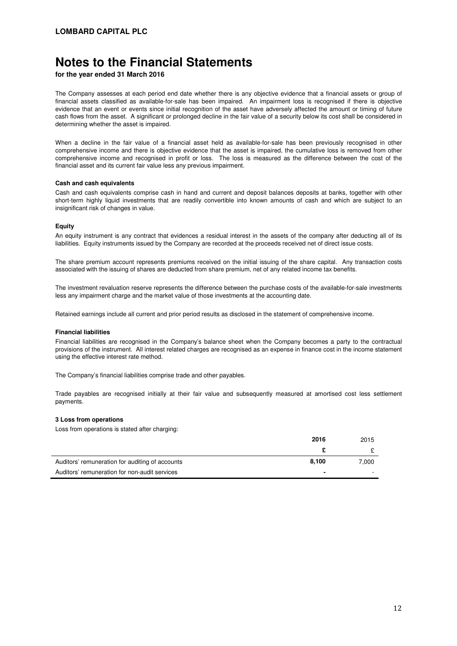**for the year ended 31 March 2016** 

The Company assesses at each period end date whether there is any objective evidence that a financial assets or group of financial assets classified as available-for-sale has been impaired. An impairment loss is recognised if there is objective evidence that an event or events since initial recognition of the asset have adversely affected the amount or timing of future cash flows from the asset. A significant or prolonged decline in the fair value of a security below its cost shall be considered in determining whether the asset is impaired.

When a decline in the fair value of a financial asset held as available-for-sale has been previously recognised in other comprehensive income and there is objective evidence that the asset is impaired, the cumulative loss is removed from other comprehensive income and recognised in profit or loss. The loss is measured as the difference between the cost of the financial asset and its current fair value less any previous impairment.

## **Cash and cash equivalents**

Cash and cash equivalents comprise cash in hand and current and deposit balances deposits at banks, together with other short-term highly liquid investments that are readily convertible into known amounts of cash and which are subject to an insignificant risk of changes in value.

## **Equity**

An equity instrument is any contract that evidences a residual interest in the assets of the company after deducting all of its liabilities. Equity instruments issued by the Company are recorded at the proceeds received net of direct issue costs.

The share premium account represents premiums received on the initial issuing of the share capital. Any transaction costs associated with the issuing of shares are deducted from share premium, net of any related income tax benefits.

The investment revaluation reserve represents the difference between the purchase costs of the available-for-sale investments less any impairment charge and the market value of those investments at the accounting date.

Retained earnings include all current and prior period results as disclosed in the statement of comprehensive income.

#### **Financial liabilities**

Financial liabilities are recognised in the Company's balance sheet when the Company becomes a party to the contractual provisions of the instrument. All interest related charges are recognised as an expense in finance cost in the income statement using the effective interest rate method.

The Company's financial liabilities comprise trade and other payables.

Trade payables are recognised initially at their fair value and subsequently measured at amortised cost less settlement payments.

#### **3 Loss from operations**

Loss from operations is stated after charging:

|                                                 | 2016  | 2015  |
|-------------------------------------------------|-------|-------|
|                                                 |       |       |
| Auditors' remuneration for auditing of accounts | 8.100 | 7.000 |
| Auditors' remuneration for non-audit services   |       |       |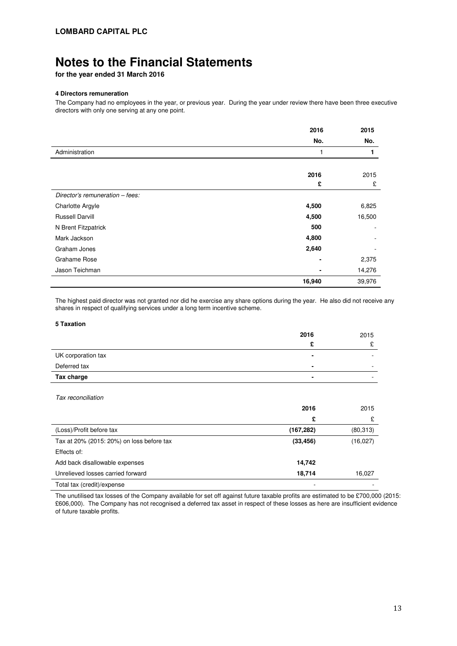**for the year ended 31 March 2016** 

# **4 Directors remuneration**

The Company had no employees in the year, or previous year. During the year under review there have been three executive directors with only one serving at any one point.

|                                 | 2016   | 2015   |
|---------------------------------|--------|--------|
|                                 | No.    | No.    |
| Administration                  | 1      | 1      |
|                                 |        |        |
|                                 | 2016   | 2015   |
|                                 | £      | £      |
| Director's remuneration - fees: |        |        |
| Charlotte Argyle                | 4,500  | 6,825  |
| <b>Russell Darvill</b>          | 4,500  | 16,500 |
| N Brent Fitzpatrick             | 500    | ۰      |
| Mark Jackson                    | 4,800  |        |
| Graham Jones                    | 2,640  |        |
| Grahame Rose                    |        | 2,375  |
| Jason Teichman                  |        | 14,276 |
|                                 | 16,940 | 39,976 |

The highest paid director was not granted nor did he exercise any share options during the year. He also did not receive any shares in respect of qualifying services under a long term incentive scheme.

## **5 Taxation**

 $\overline{a}$ 

|                    | 2016           | 2015 |
|--------------------|----------------|------|
|                    |                |      |
| UK corporation tax | $\blacksquare$ |      |
| Deferred tax       | $\blacksquare$ |      |
| <b>Tax charge</b>  | $\blacksquare$ |      |

Tax reconciliation

|                                           | 2016       | 2015     |
|-------------------------------------------|------------|----------|
|                                           | £          | £        |
| (Loss)/Profit before tax                  | (167, 282) | (80,313) |
| Tax at 20% (2015: 20%) on loss before tax | (33, 456)  | (16,027) |
| Effects of:                               |            |          |
| Add back disallowable expenses            | 14,742     |          |
| Unrelieved losses carried forward         | 18,714     | 16,027   |
| Total tax (credit)/expense                |            |          |

The unutilised tax losses of the Company available for set off against future taxable profits are estimated to be £700,000 (2015: £606,000). The Company has not recognised a deferred tax asset in respect of these losses as here are insufficient evidence of future taxable profits.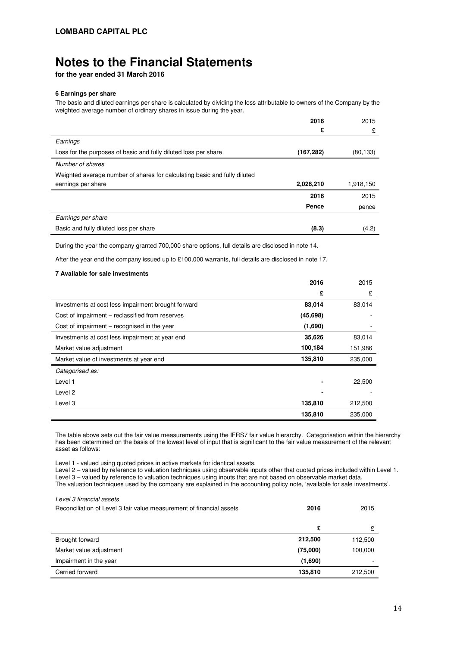**for the year ended 31 March 2016** 

## **6 Earnings per share**

The basic and diluted earnings per share is calculated by dividing the loss attributable to owners of the Company by the weighted average number of ordinary shares in issue during the year.

|                                                                           | 2016       | 2015      |
|---------------------------------------------------------------------------|------------|-----------|
|                                                                           | £          | £         |
| Earnings                                                                  |            |           |
| Loss for the purposes of basic and fully diluted loss per share           | (167, 282) | (80,133)  |
| Number of shares                                                          |            |           |
| Weighted average number of shares for calculating basic and fully diluted |            |           |
| earnings per share                                                        | 2,026,210  | 1,918,150 |
|                                                                           | 2016       | 2015      |
|                                                                           | Pence      | pence     |
| Earnings per share                                                        |            |           |
| Basic and fully diluted loss per share                                    | (8.3)      | (4.2)     |

During the year the company granted 700,000 share options, full details are disclosed in note 14.

After the year end the company issued up to £100,000 warrants, full details are disclosed in note 17.

## **7 Available for sale investments**

|                                                     | 2016      | 2015    |
|-----------------------------------------------------|-----------|---------|
|                                                     | £         | £       |
| Investments at cost less impairment brought forward | 83,014    | 83,014  |
| Cost of impairment – reclassified from reserves     | (45, 698) |         |
| Cost of impairment – recognised in the year         | (1,690)   |         |
| Investments at cost less impairment at year end     | 35,626    | 83,014  |
| Market value adjustment                             | 100,184   | 151,986 |
| Market value of investments at year end             | 135,810   | 235,000 |
| Categorised as:                                     |           |         |
| Level 1                                             |           | 22,500  |
| Level <sub>2</sub>                                  |           |         |
| Level 3                                             | 135,810   | 212,500 |
|                                                     | 135,810   | 235.000 |

The table above sets out the fair value measurements using the IFRS7 fair value hierarchy. Categorisation within the hierarchy has been determined on the basis of the lowest level of input that is significant to the fair value measurement of the relevant asset as follows:

Level 1 - valued using quoted prices in active markets for identical assets. Level 2 – valued by reference to valuation techniques using observable inputs other that quoted prices included within Level 1. Level 3 – valued by reference to valuation techniques using inputs that are not based on observable market data.

The valuation techniques used by the company are explained in the accounting policy note, 'available for sale investments'.

| Level 3 financial assets                                             |          |         |
|----------------------------------------------------------------------|----------|---------|
| Reconciliation of Level 3 fair value measurement of financial assets | 2016     | 2015    |
|                                                                      | £        | £       |
| Brought forward                                                      | 212,500  | 112,500 |
| Market value adjustment                                              | (75,000) | 100,000 |
| Impairment in the year                                               | (1,690)  |         |
| Carried forward                                                      | 135,810  | 212,500 |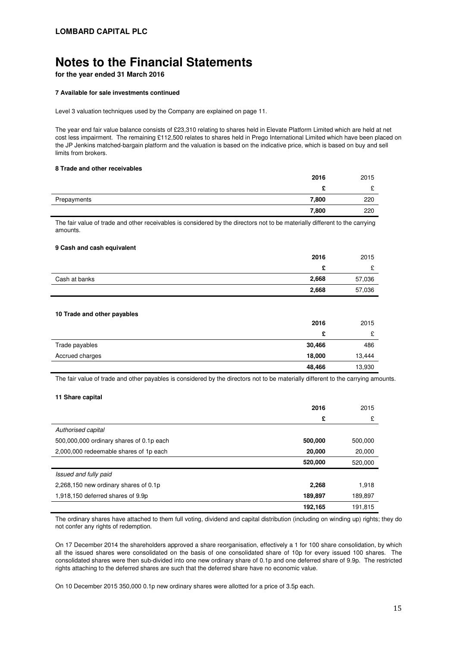**for the year ended 31 March 2016** 

## **7 Available for sale investments continued**

Level 3 valuation techniques used by the Company are explained on page 11.

The year end fair value balance consists of £23,310 relating to shares held in Elevate Platform Limited which are held at net cost less impairment. The remaining £112,500 relates to shares held in Prego International Limited which have been placed on the JP Jenkins matched-bargain platform and the valuation is based on the indicative price, which is based on buy and sell limits from brokers.

#### **8 Trade and other receivables**

|             | 2016  | 2015 |
|-------------|-------|------|
|             |       |      |
| Prepayments | 7,800 | 220  |
|             | 7,800 | 220  |

The fair value of trade and other receivables is considered by the directors not to be materially different to the carrying amounts.

# **9 Cash and cash equivalent**

|               | 2016  | 2015   |
|---------------|-------|--------|
|               |       | ົ<br>- |
| Cash at banks | 2,668 | 57,036 |
|               | 2,668 | 57,036 |

## **10 Trade and other payables**

|                 | 2016   | 2015   |
|-----------------|--------|--------|
|                 | £      | ۰      |
| Trade payables  | 30,466 | 486    |
| Accrued charges | 18,000 | 13,444 |
|                 | 48,466 | 13,930 |

The fair value of trade and other payables is considered by the directors not to be materially different to the carrying amounts.

#### **11 Share capital**

|                                          | 2016    | 2015    |
|------------------------------------------|---------|---------|
|                                          | £       | £       |
| Authorised capital                       |         |         |
| 500,000,000 ordinary shares of 0.1p each | 500,000 | 500,000 |
| 2,000,000 redeemable shares of 1p each   | 20,000  | 20,000  |
|                                          | 520,000 | 520,000 |
| Issued and fully paid                    |         |         |
| 2,268,150 new ordinary shares of 0.1p    | 2,268   | 1,918   |
| 1,918,150 deferred shares of 9.9p        | 189,897 | 189,897 |
|                                          | 192,165 | 191,815 |

The ordinary shares have attached to them full voting, dividend and capital distribution (including on winding up) rights; they do not confer any rights of redemption.

On 17 December 2014 the shareholders approved a share reorganisation, effectively a 1 for 100 share consolidation, by which all the issued shares were consolidated on the basis of one consolidated share of 10p for every issued 100 shares. The consolidated shares were then sub-divided into one new ordinary share of 0.1p and one deferred share of 9.9p. The restricted rights attaching to the deferred shares are such that the deferred share have no economic value.

On 10 December 2015 350,000 0.1p new ordinary shares were allotted for a price of 3.5p each.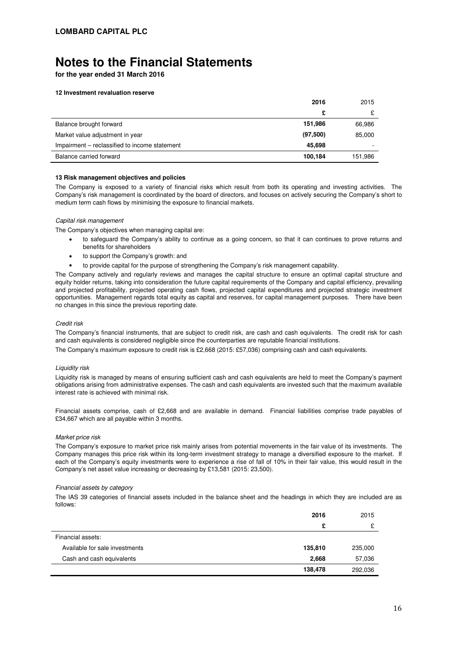**for the year ended 31 March 2016** 

## **12 Investment revaluation reserve**

|                                               | 2016      | 2015    |
|-----------------------------------------------|-----------|---------|
|                                               | £         | c       |
| Balance brought forward                       | 151,986   | 66,986  |
| Market value adjustment in year               | (97, 500) | 85,000  |
| Impairment – reclassified to income statement | 45.698    |         |
| Balance carried forward                       | 100,184   | 151,986 |

## **13 Risk management objectives and policies**

The Company is exposed to a variety of financial risks which result from both its operating and investing activities. The Company's risk management is coordinated by the board of directors, and focuses on actively securing the Company's short to medium term cash flows by minimising the exposure to financial markets.

## Capital risk management

The Company's objectives when managing capital are:

- to safeguard the Company's ability to continue as a going concern, so that it can continues to prove returns and benefits for shareholders
- to support the Company's growth: and
- to provide capital for the purpose of strengthening the Company's risk management capability.

The Company actively and regularly reviews and manages the capital structure to ensure an optimal capital structure and equity holder returns, taking into consideration the future capital requirements of the Company and capital efficiency, prevailing and projected profitability, projected operating cash flows, projected capital expenditures and projected strategic investment opportunities. Management regards total equity as capital and reserves, for capital management purposes. There have been no changes in this since the previous reporting date.

### Credit risk

The Company's financial instruments, that are subject to credit risk, are cash and cash equivalents. The credit risk for cash and cash equivalents is considered negligible since the counterparties are reputable financial institutions.

The Company's maximum exposure to credit risk is £2,668 (2015: £57,036) comprising cash and cash equivalents.

## Liquidity risk

Liquidity risk is managed by means of ensuring sufficient cash and cash equivalents are held to meet the Company's payment obligations arising from administrative expenses. The cash and cash equivalents are invested such that the maximum available interest rate is achieved with minimal risk.

Financial assets comprise, cash of £2,668 and are available in demand. Financial liabilities comprise trade payables of £34,667 which are all payable within 3 months.

#### Market price risk

The Company's exposure to market price risk mainly arises from potential movements in the fair value of its investments. The Company manages this price risk within its long-term investment strategy to manage a diversified exposure to the market. If each of the Company's equity investments were to experience a rise of fall of 10% in their fair value, this would result in the Company's net asset value increasing or decreasing by £13,581 (2015: 23,500).

#### Financial assets by category

The IAS 39 categories of financial assets included in the balance sheet and the headings in which they are included are as follows:

|                                | 2016    | 2015    |
|--------------------------------|---------|---------|
|                                | £       | ç.      |
| Financial assets:              |         |         |
| Available for sale investments | 135,810 | 235,000 |
| Cash and cash equivalents      | 2,668   | 57,036  |
|                                | 138,478 | 292,036 |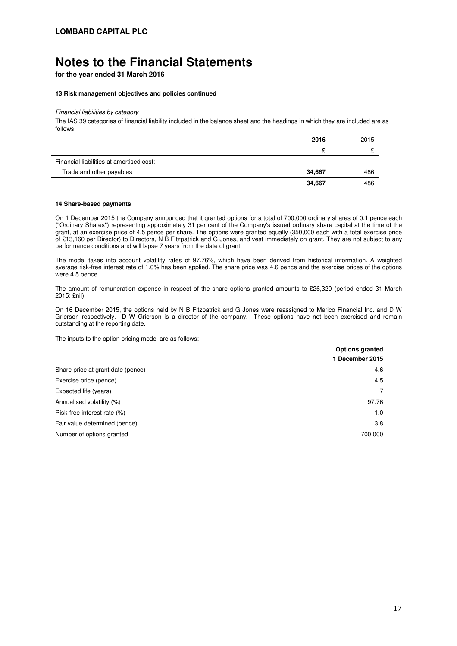**for the year ended 31 March 2016** 

## **13 Risk management objectives and policies continued**

## Financial liabilities by category

The IAS 39 categories of financial liability included in the balance sheet and the headings in which they are included are as follows:

|                                          | 2016   | 2015 |
|------------------------------------------|--------|------|
|                                          | £      |      |
| Financial liabilities at amortised cost: |        |      |
| Trade and other payables                 | 34,667 | 486  |
|                                          | 34,667 | 486  |

#### **14 Share-based payments**

On 1 December 2015 the Company announced that it granted options for a total of 700,000 ordinary shares of 0.1 pence each ("Ordinary Shares") representing approximately 31 per cent of the Company's issued ordinary share capital at the time of the grant, at an exercise price of 4.5 pence per share. The options were granted equally (350,000 each with a total exercise price of £13,160 per Director) to Directors, N B Fitzpatrick and G Jones, and vest immediately on grant. They are not subject to any performance conditions and will lapse 7 years from the date of grant.

The model takes into account volatility rates of 97.76%, which have been derived from historical information. A weighted average risk-free interest rate of 1.0% has been applied. The share price was 4.6 pence and the exercise prices of the options were 4.5 pence.

The amount of remuneration expense in respect of the share options granted amounts to £26,320 (period ended 31 March 2015: £nil).

On 16 December 2015, the options held by N B Fitzpatrick and G Jones were reassigned to Merico Financial Inc. and D W Grierson respectively. D W Grierson is a director of the company. These options have not been exercised and remain outstanding at the reporting date.

The inputs to the option pricing model are as follows:

|                                   | <b>Options granted</b><br>1 December 2015 |
|-----------------------------------|-------------------------------------------|
|                                   |                                           |
| Share price at grant date (pence) | 4.6                                       |
| Exercise price (pence)            | 4.5                                       |
| Expected life (years)             |                                           |
| Annualised volatility (%)         | 97.76                                     |
| Risk-free interest rate (%)       | 1.0                                       |
| Fair value determined (pence)     | 3.8                                       |
| Number of options granted         | 700,000                                   |
|                                   |                                           |